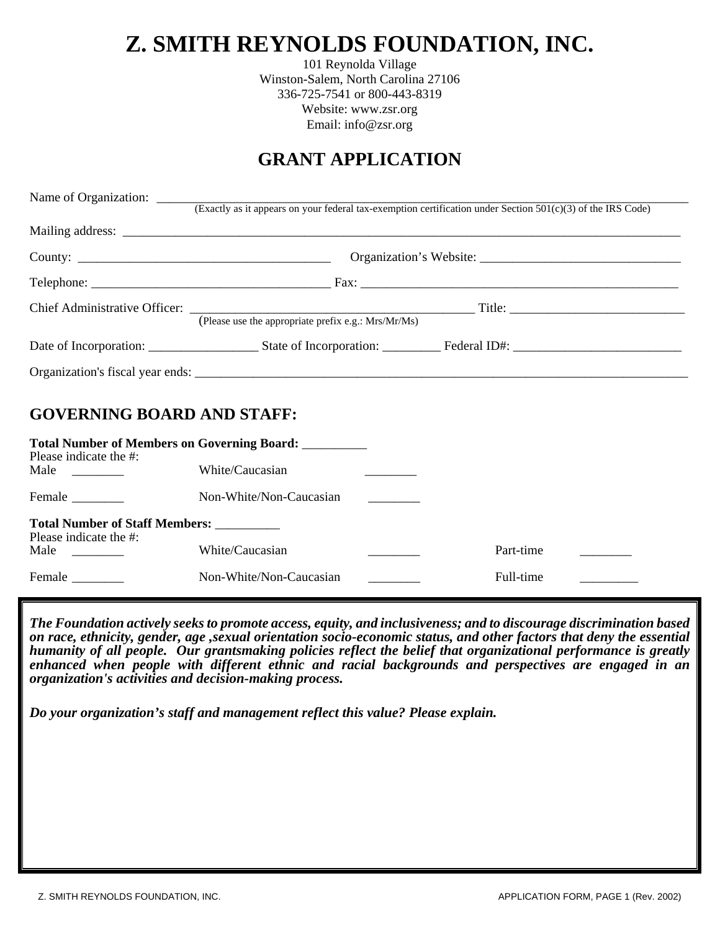# **Z. SMITH REYNOLDS FOUNDATION, INC.**

101 Reynolda Village Winston-Salem, North Carolina 27106 336-725-7541 or 800-443-8319 Website: www.zsr.org Email: info@zsr.org

## **GRANT APPLICATION**

|                                                                     | Name of Organization: (Exactly as it appears on your federal tax-exemption certification under Section 501(c)(3) of the IRS Code) |  |           |  |  |
|---------------------------------------------------------------------|-----------------------------------------------------------------------------------------------------------------------------------|--|-----------|--|--|
|                                                                     |                                                                                                                                   |  |           |  |  |
|                                                                     |                                                                                                                                   |  |           |  |  |
|                                                                     |                                                                                                                                   |  |           |  |  |
|                                                                     | (Please use the appropriate prefix e.g.: Mrs/Mr/Ms)                                                                               |  |           |  |  |
|                                                                     |                                                                                                                                   |  |           |  |  |
|                                                                     |                                                                                                                                   |  |           |  |  |
| <b>GOVERNING BOARD AND STAFF:</b>                                   |                                                                                                                                   |  |           |  |  |
| Please indicate the #:                                              | <b>Total Number of Members on Governing Board:</b>                                                                                |  |           |  |  |
| Male $\qquad \qquad$                                                | White/Caucasian                                                                                                                   |  |           |  |  |
| Female ________                                                     | Non-White/Non-Caucasian                                                                                                           |  |           |  |  |
| Total Number of Staff Members: __________<br>Please indicate the #: |                                                                                                                                   |  |           |  |  |
| Male $\qquad \qquad$                                                | White/Caucasian                                                                                                                   |  | Part-time |  |  |
| Female                                                              | Non-White/Non-Caucasian                                                                                                           |  | Full-time |  |  |

*The Foundation actively seeks to promote access, equity, and inclusiveness; and to discourage discrimination based on race, ethnicity, gender, age ,sexual orientation socio-economic status, and other factors that deny the essential humanity of all people. Our grantsmaking policies reflect the belief that organizational performance is greatly enhanced when people with different ethnic and racial backgrounds and perspectives are engaged in an organization's activities and decision-making process.* 

*Do your organization's staff and management reflect this value? Please explain.*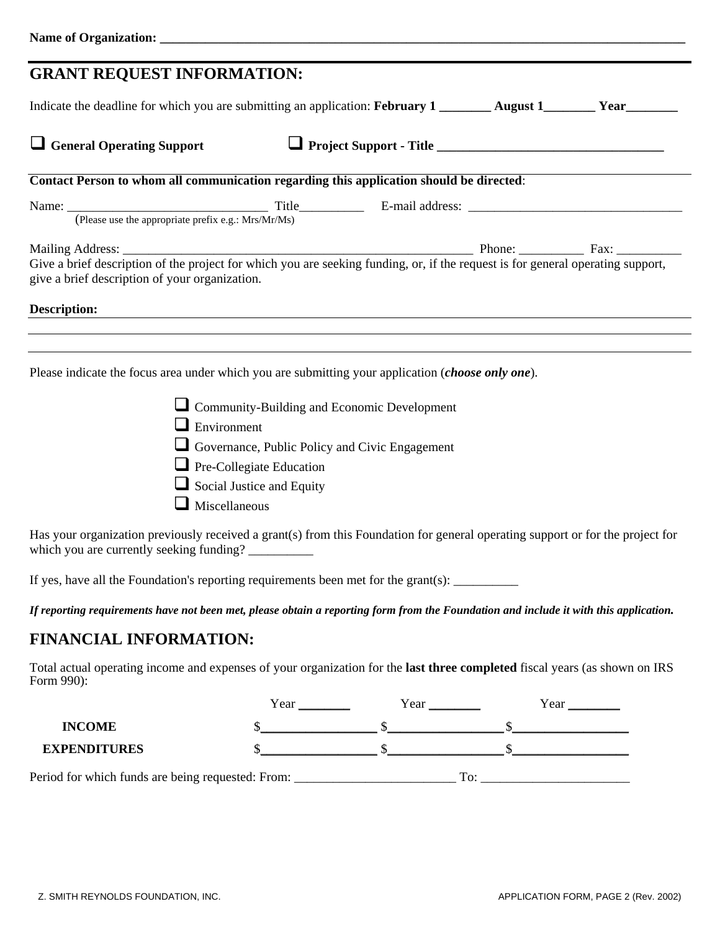| <b>GRANT REQUEST INFORMATION:</b>                                                                                                                                                                        |                                         |                                                    |  |
|----------------------------------------------------------------------------------------------------------------------------------------------------------------------------------------------------------|-----------------------------------------|----------------------------------------------------|--|
| Indicate the deadline for which you are submitting an application: February 1 ________ August 1________ Year_______                                                                                      |                                         |                                                    |  |
| $\Box$ General Operating Support                                                                                                                                                                         |                                         |                                                    |  |
| Contact Person to whom all communication regarding this application should be directed:                                                                                                                  |                                         |                                                    |  |
|                                                                                                                                                                                                          |                                         |                                                    |  |
|                                                                                                                                                                                                          |                                         |                                                    |  |
| Give a brief description of the project for which you are seeking funding, or, if the request is for general operating support,<br>give a brief description of your organization.<br><b>Description:</b> |                                         |                                                    |  |
| Please indicate the focus area under which you are submitting your application (choose only one).                                                                                                        |                                         |                                                    |  |
|                                                                                                                                                                                                          |                                         |                                                    |  |
| $\blacksquare$ Environment                                                                                                                                                                               |                                         | $\Box$ Community-Building and Economic Development |  |
|                                                                                                                                                                                                          |                                         |                                                    |  |
|                                                                                                                                                                                                          |                                         | Governance, Public Policy and Civic Engagement     |  |
|                                                                                                                                                                                                          | $\blacksquare$ Pre-Collegiate Education |                                                    |  |

 $\Box$  Miscellaneous

 $\Box$  Social Justice and Equity

Has your organization previously received a grant(s) from this Foundation for general operating support or for the project for which you are currently seeking funding? \_\_\_\_\_\_\_\_\_\_

If yes, have all the Foundation's reporting requirements been met for the grant(s):  $\frac{1}{\sqrt{1-\frac{1}{\sqrt{1-\frac{1}{\sqrt{1-\frac{1}{\sqrt{1-\frac{1}{\sqrt{1-\frac{1}{\sqrt{1-\frac{1}{\sqrt{1-\frac{1}{\sqrt{1-\frac{1}{\sqrt{1-\frac{1}{\sqrt{1-\frac{1}{\sqrt{1-\frac{1}{\sqrt{1-\frac{1}{\sqrt{1-\frac{1}{\sqrt{1-\frac{1}{\sqrt{1-\$ 

*If reporting requirements have not been met, please obtain a reporting form from the Foundation and include it with this application.* 

## **FINANCIAL INFORMATION:**

Total actual operating income and expenses of your organization for the **last three completed** fiscal years (as shown on IRS Form 990): Year \_\_\_\_\_\_\_\_ Year \_\_\_\_\_\_\_\_ Year \_\_\_\_\_\_\_\_

|                                                   | Year | Year        | Year |
|---------------------------------------------------|------|-------------|------|
| <b>INCOME</b>                                     |      |             |      |
| <b>EXPENDITURES</b>                               |      |             |      |
| Period for which funds are being requested: From: |      | $T\alpha$ . |      |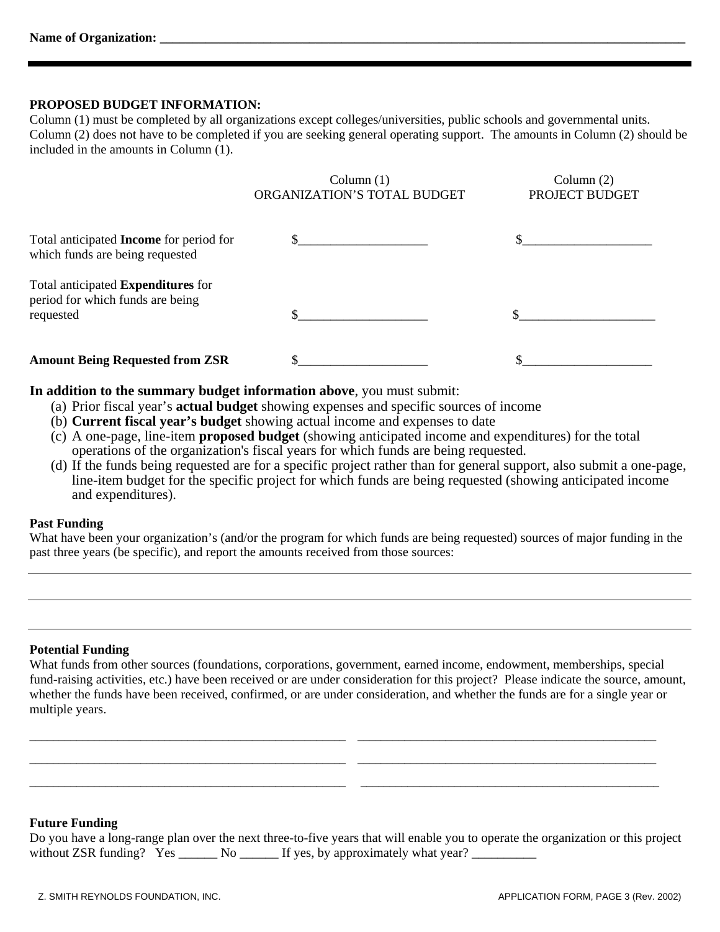#### **PROPOSED BUDGET INFORMATION:**

Column (1) must be completed by all organizations except colleges/universities, public schools and governmental units. Column (2) does not have to be completed if you are seeking general operating support. The amounts in Column (2) should be included in the amounts in Column (1).

|                                                                                            | Column $(1)$<br>ORGANIZATION'S TOTAL BUDGET | Column $(2)$<br>PROJECT BUDGET |
|--------------------------------------------------------------------------------------------|---------------------------------------------|--------------------------------|
| Total anticipated <b>Income</b> for period for<br>which funds are being requested          |                                             |                                |
| Total anticipated <b>Expenditures</b> for<br>period for which funds are being<br>requested |                                             |                                |
| <b>Amount Being Requested from ZSR</b>                                                     |                                             |                                |

**In addition to the summary budget information above**, you must submit:

- (a) Prior fiscal year's **actual budget** showing expenses and specific sources of income
- (b) **Current fiscal year's budget** showing actual income and expenses to date
- (c) A one-page, line-item **proposed budget** (showing anticipated income and expenditures) for the total operations of the organization's fiscal years for which funds are being requested.
- (d) If the funds being requested are for a specific project rather than for general support, also submit a one-page, line-item budget for the specific project for which funds are being requested (showing anticipated income and expenditures).

#### **Past Funding**

What have been your organization's (and/or the program for which funds are being requested) sources of major funding in the past three years (be specific), and report the amounts received from those sources:

#### **Potential Funding**

What funds from other sources (foundations, corporations, government, earned income, endowment, memberships, special fund-raising activities, etc.) have been received or are under consideration for this project? Please indicate the source, amount, whether the funds have been received, confirmed, or are under consideration, and whether the funds are for a single year or multiple years.

\_\_\_\_\_\_\_\_\_\_\_\_\_\_\_\_\_\_\_\_\_\_\_\_\_\_\_\_\_\_\_\_\_\_\_\_\_\_\_\_\_\_\_\_\_\_\_\_\_\_\_\_\_\_ \_\_\_\_\_\_\_\_\_\_\_\_\_\_\_\_\_\_\_\_\_\_\_\_\_\_\_\_\_\_\_\_\_\_\_\_\_\_\_\_\_\_\_\_\_\_\_\_\_\_\_ \_\_\_\_\_\_\_\_\_\_\_\_\_\_\_\_\_\_\_\_\_\_\_\_\_\_\_\_\_\_\_\_\_\_\_\_\_\_\_\_\_\_\_\_\_\_\_\_\_\_\_\_\_\_ \_\_\_\_\_\_\_\_\_\_\_\_\_\_\_\_\_\_\_\_\_\_\_\_\_\_\_\_\_\_\_\_\_\_\_\_\_\_\_\_\_\_\_\_\_\_\_\_\_\_\_ \_\_\_\_\_\_\_\_\_\_\_\_\_\_\_\_\_\_\_\_\_\_\_\_\_\_\_\_\_\_\_\_\_\_\_\_\_\_\_\_\_\_\_\_\_\_\_\_\_\_\_\_\_\_ \_\_\_\_\_\_\_\_\_\_\_\_\_\_\_\_\_\_\_\_\_\_\_\_\_\_\_\_\_\_\_\_\_\_\_\_\_\_\_\_\_\_\_\_\_\_\_\_\_\_\_

#### **Future Funding**

|                            |     | Do you have a long-range plan over the next three-to-five years that will enable you to operate the organization or this project |  |  |
|----------------------------|-----|----------------------------------------------------------------------------------------------------------------------------------|--|--|
| without ZSR funding? $Yes$ | No. | If yes, by approximately what year?                                                                                              |  |  |